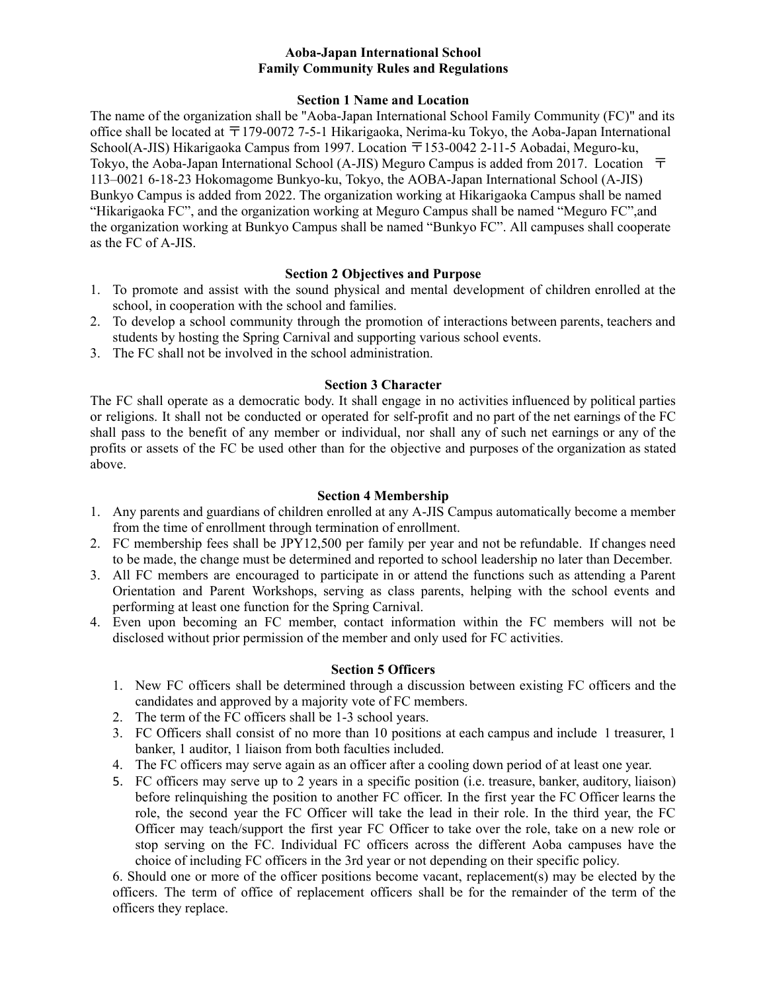## **Aoba-Japan International School Family Community Rules and Regulations**

#### **Section 1 Name and Location**

The name of the organization shall be "Aoba-Japan International School Family Community (FC)" and its office shall be located at 〒179-0072 7-5-1 Hikarigaoka, Nerima-ku Tokyo, the Aoba-Japan International School(A-JIS) Hikarigaoka Campus from 1997. Location 〒153-0042 2-11-5 Aobadai, Meguro-ku, Tokyo, the Aoba-Japan International School (A-JIS) Meguro Campus is added from 2017. Location 〒 113–0021 6-18-23 Hokomagome Bunkyo-ku, Tokyo, the AOBA-Japan International School (A-JIS) Bunkyo Campus is added from 2022. The organization working at Hikarigaoka Campus shall be named "Hikarigaoka FC", and the organization working at Meguro Campus shall be named "Meguro FC",and the organization working at Bunkyo Campus shall be named "Bunkyo FC". All campuses shall cooperate as the FC of A-JIS.

## **Section 2 Objectives and Purpose**

- 1. To promote and assist with the sound physical and mental development of children enrolled at the school, in cooperation with the school and families.
- 2. To develop a school community through the promotion of interactions between parents, teachers and students by hosting the Spring Carnival and supporting various school events.
- 3. The FC shall not be involved in the school administration.

#### **Section 3 Character**

The FC shall operate as a democratic body. It shall engage in no activities influenced by political parties or religions. It shall not be conducted or operated for self-profit and no part of the net earnings of the FC shall pass to the benefit of any member or individual, nor shall any of such net earnings or any of the profits or assets of the FC be used other than for the objective and purposes of the organization as stated above.

#### **Section 4 Membership**

- 1. Any parents and guardians of children enrolled at any A-JIS Campus automatically become a member from the time of enrollment through termination of enrollment.
- 2. FC membership fees shall be JPY12,500 per family per year and not be refundable. If changes need to be made, the change must be determined and reported to school leadership no later than December.
- 3. All FC members are encouraged to participate in or attend the functions such as attending a Parent Orientation and Parent Workshops, serving as class parents, helping with the school events and performing at least one function for the Spring Carnival.
- 4. Even upon becoming an FC member, contact information within the FC members will not be disclosed without prior permission of the member and only used for FC activities.

## **Section 5 Officers**

- 1. New FC officers shall be determined through a discussion between existing FC officers and the candidates and approved by a majority vote of FC members.
- 2. The term of the FC officers shall be 1-3 school years.
- 3. FC Officers shall consist of no more than 10 positions at each campus and include 1 treasurer, 1 banker, 1 auditor, 1 liaison from both faculties included.
- 4. The FC officers may serve again as an officer after a cooling down period of at least one year.
- 5. FC officers may serve up to 2 years in a specific position (i.e. treasure, banker, auditory, liaison) before relinquishing the position to another FC officer. In the first year the FC Officer learns the role, the second year the FC Officer will take the lead in their role. In the third year, the FC Officer may teach/support the first year FC Officer to take over the role, take on a new role or stop serving on the FC. Individual FC officers across the different Aoba campuses have the choice of including FC officers in the 3rd year or not depending on their specific policy.

6. Should one or more of the officer positions become vacant, replacement(s) may be elected by the officers. The term of office of replacement officers shall be for the remainder of the term of the officers they replace.